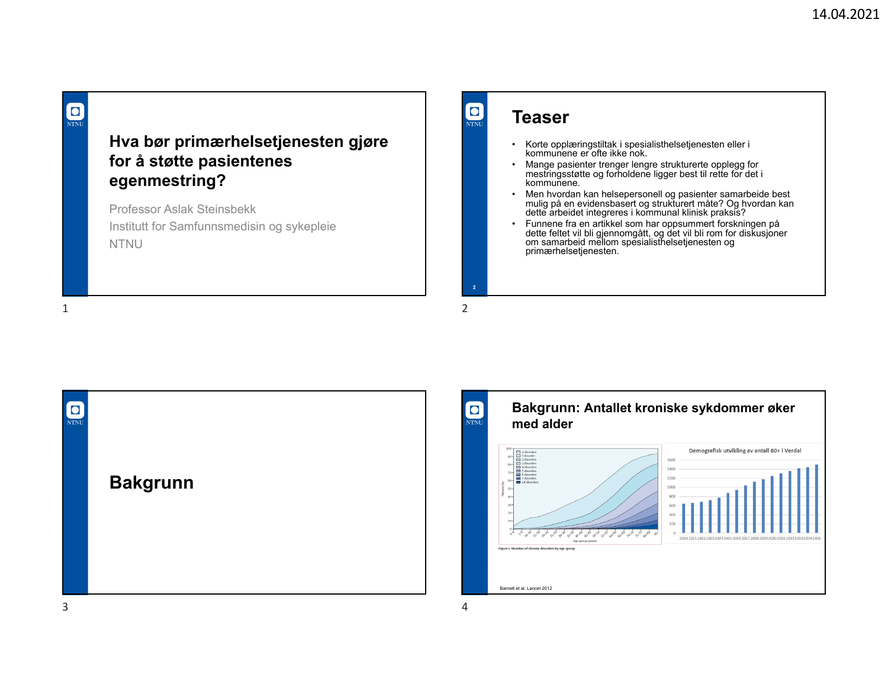# NTNU

### **Hva bør primærhelsetjenesten gjøre for å støtte pasientenes egenmestring?**

Professor Aslak SteinsbekkInstitutt for Samfunnsmedisin og sykepleie NTNU





Korte opplæringstiltak i spesialisthelsetjenesten eller i kommunene er ofte ikke nok.

dette arbeidet integreres i kommunal klinisk praksis?

om samarbeid mellom spesialisthelsetjenesten og

 Mange pasienter trenger lengre strukturerte opplegg for mestringsstøtte og forholdene ligger best til rette for det i

• Men hvordan kan helsepersonell og pasienter samarbeide best mulig på en evidensbasert og strukturert måte? Og hvordan kan

 Funnene fra en artikkel som har oppsummert forskningen på dette feltet vil bli gjennomgått, og det vil bli rom for diskusjoner

**2**

**O**<br>NTNU

**Teaser**

kommunene.

primærhelsetjenesten.

•

•

•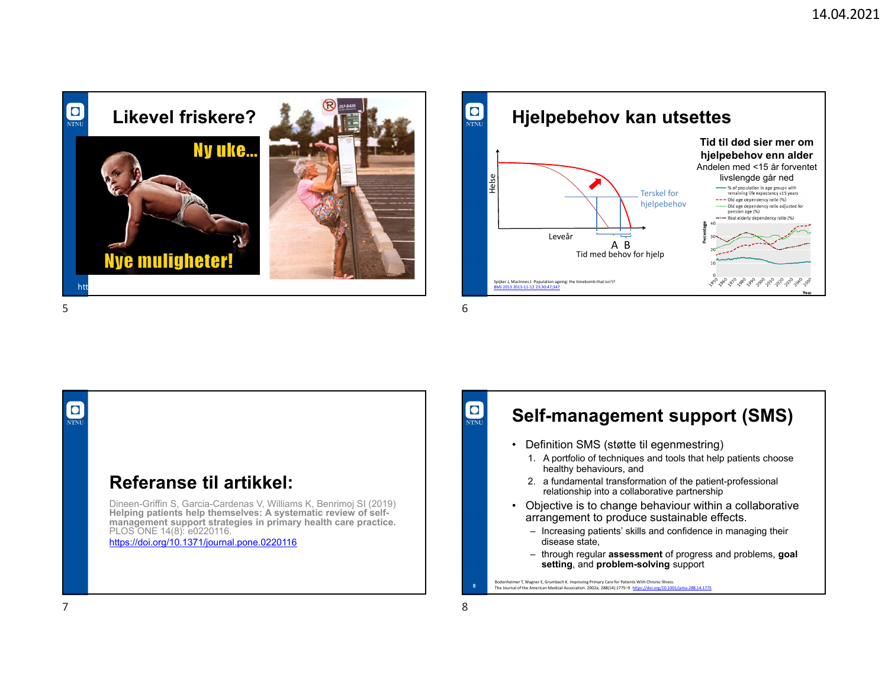





# **Self-management support (SMS)**

- • Definition SMS (støtte til egenmestring)
	- 1. A portfolio of techniques and tools that help patients choose healthy behaviours, and
	- 2. a fundamental transformation of the patient-professional relationship into a collaborative partnership
- Objective is to change behaviour within a collaborative arrangement to produce sustainable effects.
	- Increasing patients' skills and confidence in managing their disease state,
	- through regular **assessment** of progress and problems, **goal setting**, and **problem-solving** support
- Bodenheimer T, Wagner E, Grumbach K. Improving Primary Care for Patients With Chronic Illness.<br>The Journal of the American Medical Association. 2002a; 288(14):1775–9. <u>https://doi.org/10.1001/jama.288.14.1775</u>

**8**

**O**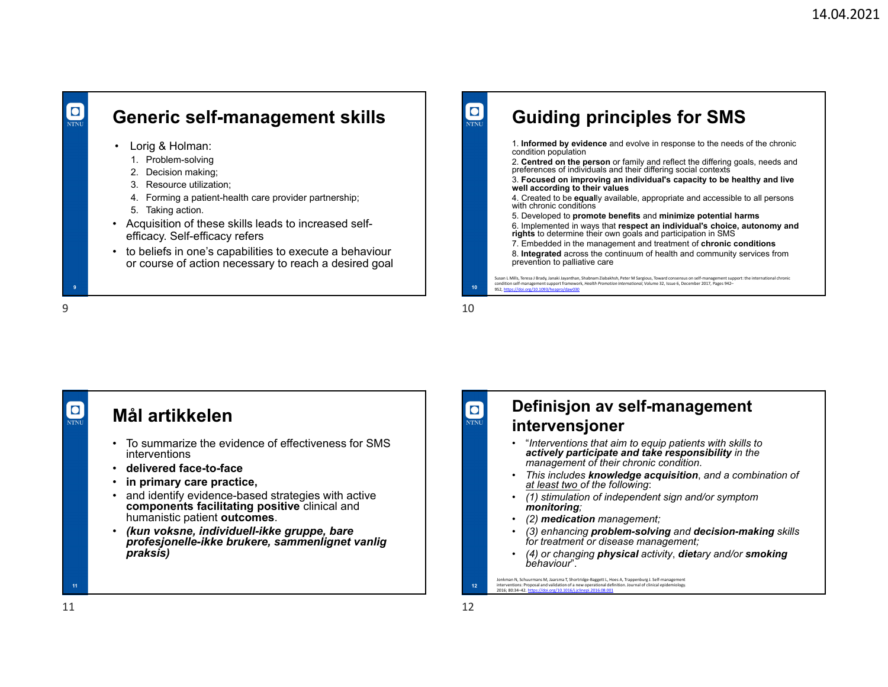### **Generic self-management skills**

- Lorig & Holman:
	- 1. Problem-solving
	- 2. Decision making;
	- 3. Resource utilization;
	- 4. Forming a patient-health care provider partnership;
	- 5. Taking action.
- Acquisition of these skills leads to increased selfefficacy. Self-efficacy refers
- to beliefs in one's capabilities to execute a behaviour or course of action necessary to reach a desired goal

 $\bullet$ 

O NTNU



9 to 10  $\,$  10  $\,$  10  $\,$  10  $\,$  10  $\,$  10  $\,$  10  $\,$  10  $\,$  10  $\,$  10  $\,$  10  $\,$  10  $\,$  10  $\,$  10  $\,$  10  $\,$  10  $\,$  10  $\,$  10  $\,$  10  $\,$  10  $\,$  10  $\,$  10  $\,$  10  $\,$  10  $\,$  10  $\,$  10  $\,$  10  $\,$ 

 $\blacksquare$ 

**NTNU** 

#### **11Mål artikkelen**• To summarize the evidence of effectiveness for SMS interventions • **delivered face-to-face**  • **in primary care practice,**  • and identify evidence-based strategies with active **components facilitating positive** clinical and humanistic patient **outcomes**. • *(kun voksne, individuell-ikke gruppe, bare profesjonelle-ikke brukere, sammenlignet vanlig praksis)*

**Definisjon av self-management intervensjoner**

- "*Interventions that aim to equip patients with skills to actively participate and take responsibility in the management of their chronic condition*.
- • *This includes knowledge acquisition*, *and a combination of at least two of the following*:
- *(1) stimulation of independent sign and/or symptom monitoring;*
- •*(2) medication management;*
- • *(3) enhancing problem-solving and decision-making skills for treatment or disease management;*
- • *(4) or changing physical activity*, *dietary and/or smoking behaviour*".

**12**Jonkman N, Schuurmans M, Jaarsma T, Shortridge‐Baggett L, Hoes A, Trappenburg J. Self‐management interventions: Proposal and validation of <sup>a</sup> new operational definition. Journal of clinical epidemiology. 2016; 80:34-42.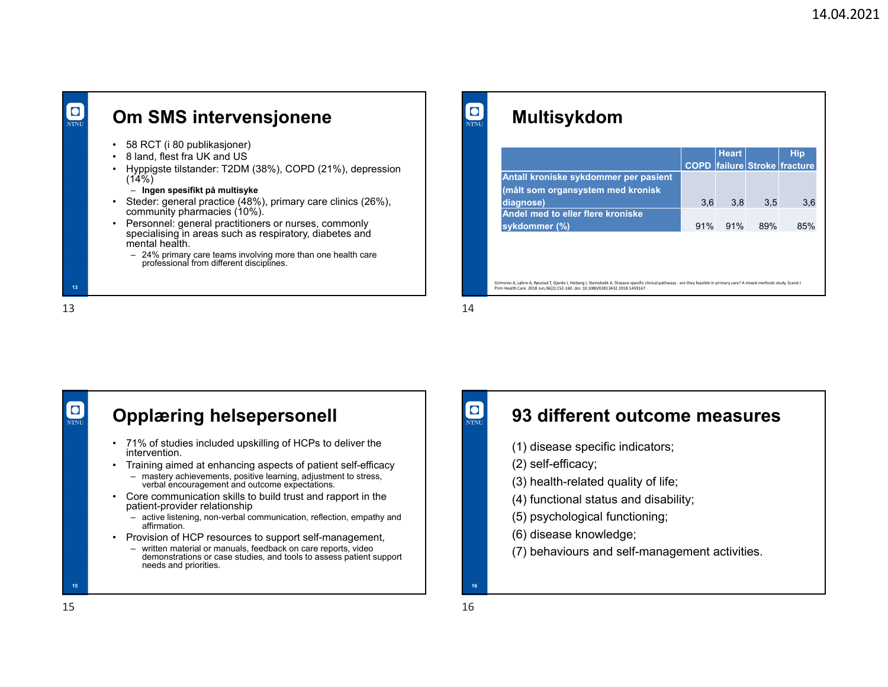### **Om SMS intervensjonene**

- 58 RCT (i 80 publikasjoner)
- •8 land, flest fra UK and US
- • Hyppigste tilstander: T2DM (38%), COPD (21%), depression  $(14\%)$ 
	- **Ingen spesifikt på multisyke**
- • Steder: general practice (48%), primary care clinics (26%), community pharmacies (10%).
- • Personnel: general practitioners or nurses, commonly specialising in areas such as respiratory, diabetes and mental health.
	- 24% primary care teams involving more than one health care professional from different disciplines.

 $13$  and  $14$ 

**13**

**O**<br>NTNU

## **Multisykdom**

|                                                                                                                                                                                                                                                          |     | <b>Heart</b> |                              | <b>Hip</b> |
|----------------------------------------------------------------------------------------------------------------------------------------------------------------------------------------------------------------------------------------------------------|-----|--------------|------------------------------|------------|
|                                                                                                                                                                                                                                                          |     |              | COPD failure Stroke fracture |            |
| Antall kroniske sykdommer per pasient                                                                                                                                                                                                                    |     |              |                              |            |
| (målt som organsystem med kronisk                                                                                                                                                                                                                        |     |              |                              |            |
| diagnose)                                                                                                                                                                                                                                                | 3.6 | 3.8          | 3.5                          | 3.6        |
| Andel med to eller flere kroniske                                                                                                                                                                                                                        |     |              |                              |            |
| sykdommer (%)                                                                                                                                                                                                                                            | 91% | 91%          | 89%                          | 85%        |
|                                                                                                                                                                                                                                                          |     |              |                              |            |
|                                                                                                                                                                                                                                                          |     |              |                              |            |
|                                                                                                                                                                                                                                                          |     |              |                              |            |
|                                                                                                                                                                                                                                                          |     |              |                              |            |
| Grimsmo A, Løhre A, Røsstad T, Gjerde I, Heiberg I, Steinsbekk A. Disease-specific clinical pathways - are they feasible in primary care? A mixed-methods study. Scand J<br>Prim Health Care. 2018 Jun;36(2):152-160. doi: 10.1080/02813432.2018.1459167 |     |              |                              |            |

 $\boxed{\bullet}$ 

 $\overline{\mathbf{O}}$ 

#### $\begin{array}{c} \hline \textbf{O} \\ \text{NTNU} \end{array}$ **Opplæring helsepersonell** • 71% of studies included upskilling of HCPs to deliver the intervention. • Training aimed at enhancing aspects of patient self-efficacy – mastery achievements, positive learning, adjustment to stress, verbal encouragement and outcome expectations. • Core communication skills to build trust and rapport in the patient-provider relationship – active listening, non-verbal communication, reflection, empathy and affirmation. Provision of HCP resources to support self-management, •– written material or manuals, feedback on care reports, video demonstrations or case studies, and tools to assess patient support needs and priorities. **15**15  $\hspace{1.5cm}$  16

# **93 different outcome measures**

- (1) disease specific indicators;
- (2) self-efficacy;
- (3) health-related quality of life;
- (4) functional status and disability;
- (5) psychological functioning;
- (6) disease knowledge;
- (7) behaviours and self-management activities.

**16**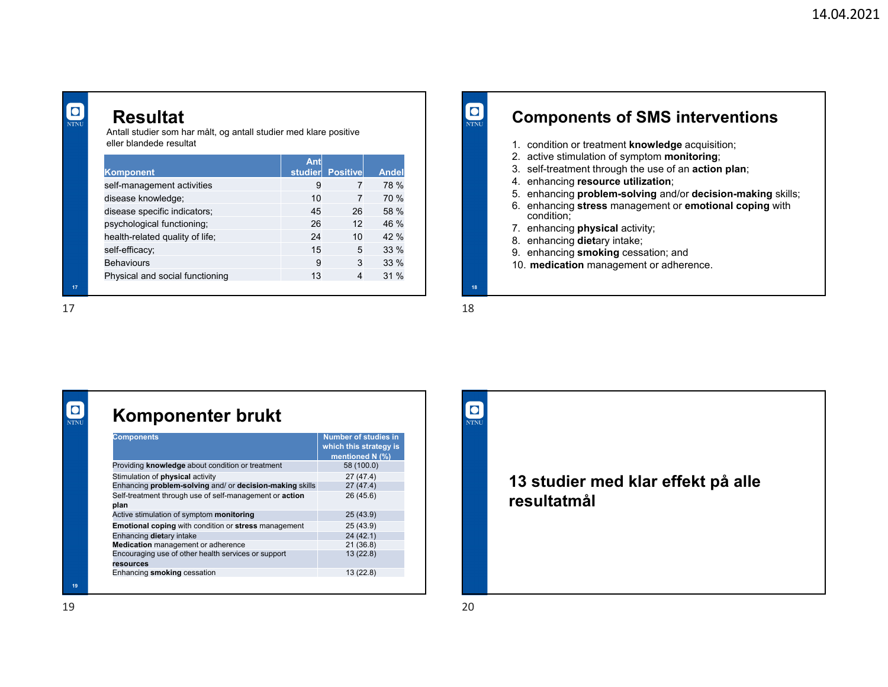### **Resultat**

Antall studier som har målt, og antall studier med klare positive eller blandede resultat

|                                 | Ant |                  |              |
|---------------------------------|-----|------------------|--------------|
| <b>Komponent</b>                |     | studier Positive | <b>Andel</b> |
| self-management activities      | 9   | 7                | 78 %         |
| disease knowledge;              | 10  | 7                | 70 %         |
| disease specific indicators;    | 45  | 26               | 58 %         |
| psychological functioning;      | 26  | 12               | 46 %         |
| health-related quality of life; | 24  | 10               | 42%          |
| self-efficacy;                  | 15  | 5                | 33 %         |
| <b>Behaviours</b>               | 9   | 3                | 33%          |
| Physical and social functioning | 13  | 4                | $31\%$       |

### **Components of SMS interventions**

- 1. condition or treatment **knowledge** acquisition;
- 2. active stimulation of symptom **monitoring**;
- 3. self-treatment through the use of an **action plan**;
- 4. enhancing **resource utilization**;
- 5. enhancing **problem-solving** and/or **decision-making** skills;
- 6. enhancing **stress** management or **emotional coping** with condition;
- 7. enhancing **physical** activity;
- 8. enhancing **diet**ary intake;
- 9. enhancing **smoking** cessation; and
- 10. **medication** management or adherence.

 $17$  and  $18$ 

**O**<br>NTNU

**17**

**O**<br>NTNU

| <b>Komponenter brukt</b> |  |
|--------------------------|--|

| <b>Components</b>                                                | Number of studies in<br>which this strategy is<br>mentioned N (%) |
|------------------------------------------------------------------|-------------------------------------------------------------------|
| Providing knowledge about condition or treatment                 | 58 (100.0)                                                        |
| Stimulation of <b>physical</b> activity                          | 27(47.4)                                                          |
| Enhancing problem-solving and/ or decision-making skills         | 27(47.4)                                                          |
| Self-treatment through use of self-management or action<br>plan  | 26(45.6)                                                          |
| Active stimulation of symptom monitoring                         | 25(43.9)                                                          |
| <b>Emotional coping with condition or stress management</b>      | 25(43.9)                                                          |
| Enhancing dietary intake                                         | 24(42.1)                                                          |
| <b>Medication</b> management or adherence                        | 21(36.8)                                                          |
| Encouraging use of other health services or support<br>resources | 13(22.8)                                                          |
| Enhancing smoking cessation                                      | 13(22.8)                                                          |



**19**

**18**

**O**<br>NTNU